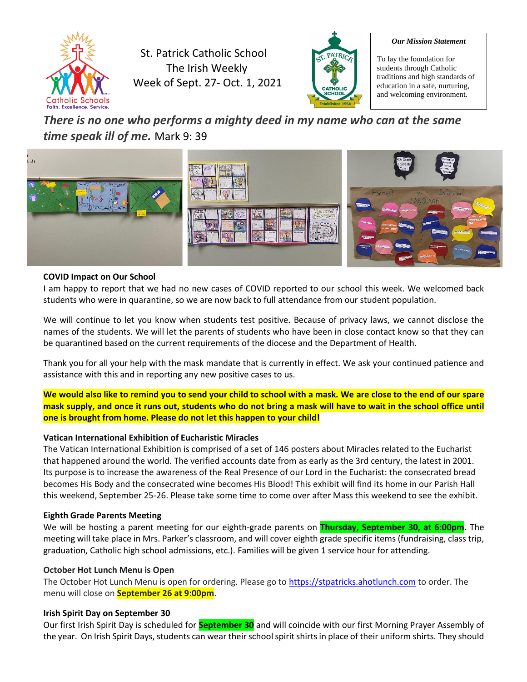

St. Patrick Catholic School The Irish Weekly Week of Sept. 27- Oct. 1, 2021



#### *Our Mission Statement*

To lay the foundation for students through Catholic traditions and high standards of education in a safe, nurturing, and welcoming environment.

# *There is no one who performs a mighty deed in my name who can at the same time speak ill of me.* Mark 9: 39



#### **COVID Impact on Our School**

I am happy to report that we had no new cases of COVID reported to our school this week. We welcomed back students who were in quarantine, so we are now back to full attendance from our student population.

We will continue to let you know when students test positive. Because of privacy laws, we cannot disclose the names of the students. We will let the parents of students who have been in close contact know so that they can be quarantined based on the current requirements of the diocese and the Department of Health.

Thank you for all your help with the mask mandate that is currently in effect. We ask your continued patience and assistance with this and in reporting any new positive cases to us.

**We would also like to remind you to send your child to school with a mask. We are close to the end of our spare mask supply, and once it runs out, students who do not bring a mask will have to wait in the school office until one is brought from home. Please do not let this happen to your child!**

#### **Vatican International Exhibition of Eucharistic Miracles**

The Vatican International Exhibition is comprised of a set of 146 posters about Miracles related to the Eucharist that happened around the world. The verified accounts date from as early as the 3rd century, the latest in 2001. Its purpose is to increase the awareness of the Real Presence of our Lord in the Eucharist: the consecrated bread becomes His Body and the consecrated wine becomes His Blood! This exhibit will find its home in our Parish Hall this weekend, September 25-26. Please take some time to come over after Mass this weekend to see the exhibit.

#### **Eighth Grade Parents Meeting**

We will be hosting a parent meeting for our eighth-grade parents on **Thursday, September 30, at 6:00pm**. The meeting will take place in Mrs. Parker's classroom, and will cover eighth grade specific items (fundraising, class trip, graduation, Catholic high school admissions, etc.). Families will be given 1 service hour for attending.

#### **October Hot Lunch Menu is Open**

The October Hot Lunch Menu is open for ordering. Please go t[o https://stpatricks.ahotlunch.com](https://stpatricks.ahotlunch.com/) to order. The menu will close on **September 26 at 9:00pm**.

#### **Irish Spirit Day on September 30**

Our first Irish Spirit Day is scheduled for **September 30** and will coincide with our first Morning Prayer Assembly of the year. On Irish Spirit Days, students can wear their school spirit shirts in place of their uniform shirts. They should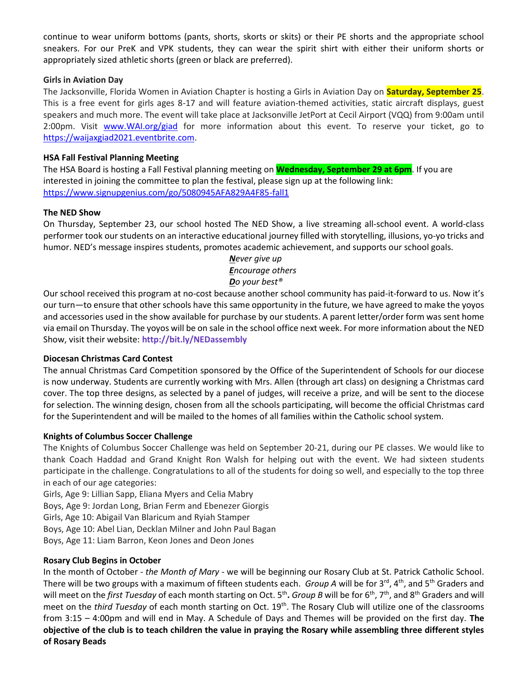continue to wear uniform bottoms (pants, shorts, skorts or skits) or their PE shorts and the appropriate school sneakers. For our PreK and VPK students, they can wear the spirit shirt with either their uniform shorts or appropriately sized athletic shorts (green or black are preferred).

## **Girls in Aviation Day**

The Jacksonville, Florida Women in Aviation Chapter is hosting a Girls in Aviation Day on **Saturday, September 25**. This is a free event for girls ages 8-17 and will feature aviation-themed activities, static aircraft displays, guest speakers and much more. The event will take place at Jacksonville JetPort at Cecil Airport (VQQ) from 9:00am until 2:00pm. Visit [www.WAI.org/giad](http://www.wai.org/giad) for more information about this event. To reserve your ticket, go to [https://waijaxgiad2021.eventbrite.com.](https://waijaxgiad2021.eventbrite.com/)

# **HSA Fall Festival Planning Meeting**

The HSA Board is hosting a Fall Festival planning meeting on **Wednesday, September 29 at 6pm**. If you are interested in joining the committee to plan the festival, please sign up at the following link: <https://www.signupgenius.com/go/5080945AFA829A4F85-fall1>

# **The NED Show**

On Thursday, September 23, our school hosted The NED Show, a live streaming all-school event. A world-class performer took our students on an interactive educational journey filled with storytelling, illusions, yo-yo tricks and humor. NED's message inspires students, promotes academic achievement, and supports our school goals.

> *Never give up Encourage others Do your best®*

Our school received this program at no-cost because another school community has paid-it-forward to us. Now it's our turn—to ensure that other schools have this same opportunity in the future, we have agreed to make the yoyos and accessories used in the show available for purchase by our students. A parent letter/order form was sent home via email on Thursday. The yoyos will be on sale in the school office next week. For more information about the NED Show, visit their website: **<http://bit.ly/NEDassembly>**

## **Diocesan Christmas Card Contest**

The annual Christmas Card Competition sponsored by the Office of the Superintendent of Schools for our diocese is now underway. Students are currently working with Mrs. Allen (through art class) on designing a Christmas card cover. The top three designs, as selected by a panel of judges, will receive a prize, and will be sent to the diocese for selection. The winning design, chosen from all the schools participating, will become the official Christmas card for the Superintendent and will be mailed to the homes of all families within the Catholic school system.

# **Knights of Columbus Soccer Challenge**

The Knights of Columbus Soccer Challenge was held on September 20-21, during our PE classes. We would like to thank Coach Haddad and Grand Knight Ron Walsh for helping out with the event. We had sixteen students participate in the challenge. Congratulations to all of the students for doing so well, and especially to the top three in each of our age categories:

Girls, Age 9: Lillian Sapp, Eliana Myers and Celia Mabry Boys, Age 9: Jordan Long, Brian Ferm and Ebenezer Giorgis Girls, Age 10: Abigail Van Blaricum and Ryiah Stamper Boys, Age 10: Abel Lian, Decklan Milner and John Paul Bagan Boys, Age 11: Liam Barron, Keon Jones and Deon Jones

# **Rosary Club Begins in October**

In the month of October - *the Month of Mary* - we will be beginning our Rosary Club at St. Patrick Catholic School. There will be two groups with a maximum of fifteen students each. *Group A* will be for 3<sup>rd</sup>, 4<sup>th</sup>, and 5<sup>th</sup> Graders and will meet on the *first Tuesday* of each month starting on Oct. 5<sup>th</sup>. *Group B* will be for 6<sup>th</sup>, 7<sup>th</sup>, and 8<sup>th</sup> Graders and will meet on the *third Tuesday* of each month starting on Oct. 19th. The Rosary Club will utilize one of the classrooms from 3:15 – 4:00pm and will end in May. A Schedule of Days and Themes will be provided on the first day. **The objective of the club is to teach children the value in praying the Rosary while assembling three different styles of Rosary Beads**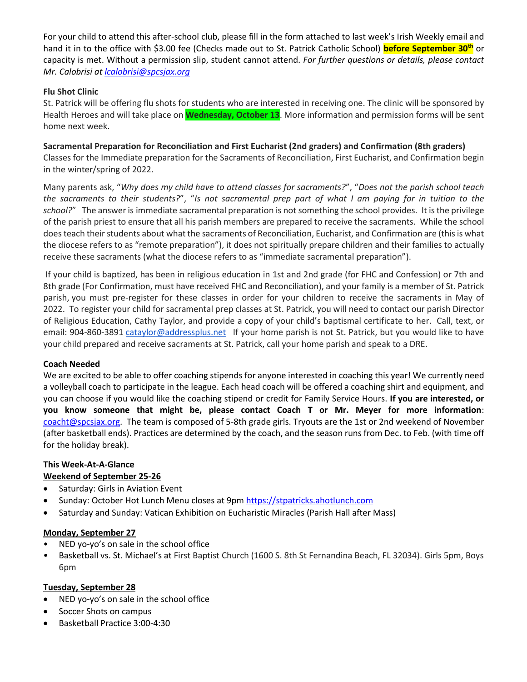For your child to attend this after-school club, please fill in the form attached to last week's Irish Weekly email and hand it in to the office with \$3.00 fee (Checks made out to St. Patrick Catholic School) **before September 30th** or capacity is met. Without a permission slip, student cannot attend. *For further questions or details, please contact Mr. Calobrisi a[t lcalobrisi@spcsjax.org](mailto:lcalobrisi@spcsjax.org)*

# **Flu Shot Clinic**

St. Patrick will be offering flu shots for students who are interested in receiving one. The clinic will be sponsored by Health Heroes and will take place on **Wednesday, October 13**. More information and permission forms will be sent home next week.

**Sacramental Preparation for Reconciliation and First Eucharist (2nd graders) and Confirmation (8th graders)** Classes for the Immediate preparation for the Sacraments of Reconciliation, First Eucharist, and Confirmation begin in the winter/spring of 2022.

Many parents ask, "*Why does my child have to attend classes for sacraments?*", "*Does not the parish school teach the sacraments to their students?*", "*Is not sacramental prep part of what I am paying for in tuition to the school?*" The answer is immediate sacramental preparation is not something the school provides. It is the privilege of the parish priest to ensure that all his parish members are prepared to receive the sacraments. While the school does teach their students about what the sacraments of Reconciliation, Eucharist, and Confirmation are (this is what the diocese refers to as "remote preparation"), it does not spiritually prepare children and their families to actually receive these sacraments (what the diocese refers to as "immediate sacramental preparation").

If your child is baptized, has been in religious education in 1st and 2nd grade (for FHC and Confession) or 7th and 8th grade (For Confirmation, must have received FHC and Reconciliation), and your family is a member of St. Patrick parish, you must pre-register for these classes in order for your children to receive the sacraments in May of 2022. To register your child for sacramental prep classes at St. Patrick, you will need to contact our parish Director of Religious Education, Cathy Taylor, and provide a copy of your child's baptismal certificate to her. Call, text, or email: 904-860-3891 [cataylor@addressplus.net](mailto:cataylor@addressplus.net) If your home parish is not St. Patrick, but you would like to have your child prepared and receive sacraments at St. Patrick, call your home parish and speak to a DRE.

## **Coach Needed**

We are excited to be able to offer coaching stipends for anyone interested in coaching this year! We currently need a volleyball coach to participate in the league. Each head coach will be offered a coaching shirt and equipment, and you can choose if you would like the coaching stipend or credit for Family Service Hours. **If you are interested, or you know someone that might be, please contact Coach T or Mr. Meyer for more information**: [coacht@spcsjax.org.](mailto:coacht@spcsjax.org) The team is composed of 5-8th grade girls. Tryouts are the 1st or 2nd weekend of November (after basketball ends). Practices are determined by the coach, and the season runs from Dec. to Feb. (with time off for the holiday break).

# **This Week-At-A-Glance**

# **Weekend of September 25-26**

- Saturday: Girls in Aviation Event
- Sunday: October Hot Lunch Menu closes at 9pm [https://stpatricks.ahotlunch.com](https://stpatricks.ahotlunch.com/)
- Saturday and Sunday: Vatican Exhibition on Eucharistic Miracles (Parish Hall after Mass)

## **Monday, September 27**

- NED yo-yo's on sale in the school office
- Basketball vs. St. Michael's at First Baptist Church (1600 S. 8th St Fernandina Beach, FL 32034). Girls 5pm, Boys 6pm

## **Tuesday, September 28**

- NED yo-yo's on sale in the school office
- Soccer Shots on campus
- Basketball Practice 3:00-4:30